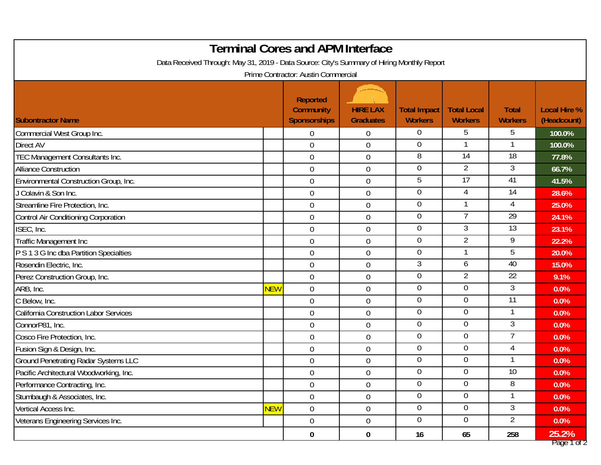| <b>Terminal Cores and APM Interface</b><br>Data Received Through: May 31, 2019 - Data Source: City's Summary of Hiring Monthly Report<br>Prime Contractor: Austin Commercial |            |                                                            |                                     |                                       |                                      |                                |                                    |  |  |  |  |
|------------------------------------------------------------------------------------------------------------------------------------------------------------------------------|------------|------------------------------------------------------------|-------------------------------------|---------------------------------------|--------------------------------------|--------------------------------|------------------------------------|--|--|--|--|
| <b>Subontractor Name</b>                                                                                                                                                     |            | <b>Reported</b><br><b>Community</b><br><b>Sponsorships</b> | <b>HIRE LAX</b><br><b>Graduates</b> | <b>Total Impact</b><br><b>Workers</b> | <b>Total Local</b><br><b>Workers</b> | <b>Total</b><br><b>Workers</b> | <b>Local Hire %</b><br>(Headcount) |  |  |  |  |
| Commercial West Group Inc.                                                                                                                                                   |            | $\overline{0}$                                             | 0                                   | $\overline{0}$                        | 5                                    | 5                              | 100.0%                             |  |  |  |  |
| <b>Direct AV</b>                                                                                                                                                             |            | $\mathbf 0$                                                | $\mathbf 0$                         | $\overline{0}$                        |                                      |                                | 100.0%                             |  |  |  |  |
| TEC Management Consultants Inc.                                                                                                                                              |            | $\overline{0}$                                             | $\boldsymbol{0}$                    | 8                                     | 14                                   | $\overline{18}$                | 77.8%                              |  |  |  |  |
| <b>Alliance Construction</b>                                                                                                                                                 |            | $\overline{0}$                                             | $\mathbf 0$                         | $\overline{0}$                        | $\overline{2}$                       | $\mathfrak{Z}$                 | 66.7%                              |  |  |  |  |
| Environmental Construction Group, Inc.                                                                                                                                       |            | $\overline{0}$                                             | $\mathbf 0$                         | 5                                     | 17                                   | 41                             | 41.5%                              |  |  |  |  |
| J Colavin & Son Inc.                                                                                                                                                         |            | $\overline{0}$                                             | 0                                   | $\mathbf 0$                           | 4                                    | 14                             | 28.6%                              |  |  |  |  |
| Streamline Fire Protection, Inc.                                                                                                                                             |            | $\mathbf 0$                                                | 0                                   | $\overline{0}$                        |                                      | 4                              | 25.0%                              |  |  |  |  |
| Control Air Conditioning Corporation                                                                                                                                         |            | $\overline{0}$                                             | 0                                   | $\overline{0}$                        |                                      | 29                             | 24.1%                              |  |  |  |  |
| ISEC, Inc.                                                                                                                                                                   |            | $\mathbf 0$                                                | 0                                   | $\overline{0}$                        | 3                                    | 13                             | 23.1%                              |  |  |  |  |
| Traffic Management Inc                                                                                                                                                       |            | $\mathbf 0$                                                | $\mathbf 0$                         | $\overline{0}$                        | $\overline{2}$                       | 9                              | 22.2%                              |  |  |  |  |
| P S 1 3 G Inc dba Partition Specialties                                                                                                                                      |            | $\overline{0}$                                             | $\boldsymbol{0}$                    | $\overline{0}$                        |                                      | 5                              | 20.0%                              |  |  |  |  |
| Rosendin Electric, Inc.                                                                                                                                                      |            | $\overline{0}$                                             | $\boldsymbol{0}$                    | 3                                     | 6                                    | 40                             | 15.0%                              |  |  |  |  |
| Perez Construction Group, Inc.                                                                                                                                               |            | $\overline{0}$                                             | $\mathbf 0$                         | $\overline{0}$                        | $\overline{2}$                       | 22                             | 9.1%                               |  |  |  |  |
| ARB, Inc.                                                                                                                                                                    | <b>NEW</b> | $\boldsymbol{0}$                                           | $\boldsymbol{0}$                    | $\overline{0}$                        | $\overline{0}$                       | 3                              | 0.0%                               |  |  |  |  |
| C Below, Inc.                                                                                                                                                                |            | $\overline{0}$                                             | $\boldsymbol{0}$                    | $\overline{0}$                        | $\overline{0}$                       | 11                             | 0.0%                               |  |  |  |  |
| California Construction Labor Services                                                                                                                                       |            | $\mathbf 0$                                                | $\mathbf 0$                         | $\overline{0}$                        | $\overline{0}$                       |                                | 0.0%                               |  |  |  |  |
| ConnorP81, Inc.                                                                                                                                                              |            | $\mathbf 0$                                                | $\mathbf 0$                         | $\overline{0}$                        | $\overline{0}$                       | 3                              | 0.0%                               |  |  |  |  |
| Cosco Fire Protection, Inc.                                                                                                                                                  |            | $\mathbf 0$                                                | $\boldsymbol{0}$                    | $\overline{0}$                        | $\overline{0}$                       | $\overline{7}$                 | 0.0%                               |  |  |  |  |
| Fusion Sign & Design, Inc.                                                                                                                                                   |            | $\overline{0}$                                             | $\boldsymbol{0}$                    | $\overline{0}$                        | $\overline{0}$                       | 4                              | 0.0%                               |  |  |  |  |
| <b>Ground Penetrating Radar Systems LLC</b>                                                                                                                                  |            | $\mathbf 0$                                                | $\boldsymbol{0}$                    | $\overline{0}$                        | $\overline{0}$                       |                                | 0.0%                               |  |  |  |  |
| Pacific Architectural Woodworking, Inc.                                                                                                                                      |            | $\overline{0}$                                             | $\mathbf 0$                         | $\overline{0}$                        | $\overline{0}$                       | 10                             | 0.0%                               |  |  |  |  |
| Performance Contracting, Inc.                                                                                                                                                |            | $\overline{0}$                                             | $\boldsymbol{0}$                    | $\overline{0}$                        | $\overline{0}$                       | 8                              | 0.0%                               |  |  |  |  |
| Stumbaugh & Associates, Inc.                                                                                                                                                 |            | $\overline{0}$                                             | $\overline{0}$                      | $\overline{0}$                        | $\overline{0}$                       |                                | 0.0%                               |  |  |  |  |
| Vertical Access Inc.                                                                                                                                                         | <b>NEW</b> | $\overline{0}$                                             | $\boldsymbol{0}$                    | $\overline{0}$                        | $\overline{0}$                       | $\mathfrak{Z}$                 | 0.0%                               |  |  |  |  |
| Veterans Engineering Services Inc.                                                                                                                                           |            | $\overline{0}$                                             | $\boldsymbol{0}$                    | $\overline{0}$                        | $\overline{0}$                       | $\overline{2}$                 | $0.0\%$                            |  |  |  |  |
|                                                                                                                                                                              |            | $\mathbf 0$                                                | $\pmb{0}$                           | 16                                    | 65                                   | 258                            | 25.2%<br>Page 1 of 2               |  |  |  |  |